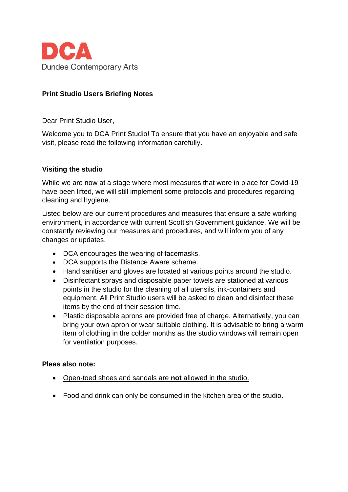

# **Print Studio Users Briefing Notes**

Dear Print Studio User,

Welcome you to DCA Print Studio! To ensure that you have an enjoyable and safe visit, please read the following information carefully.

#### **Visiting the studio**

While we are now at a stage where most measures that were in place for Covid-19 have been lifted, we will still implement some protocols and procedures regarding cleaning and hygiene.

Listed below are our current procedures and measures that ensure a safe working environment, in accordance with current Scottish Government guidance. We will be constantly reviewing our measures and procedures, and will inform you of any changes or updates.

- DCA encourages the wearing of facemasks.
- DCA supports the Distance Aware scheme.
- Hand sanitiser and gloves are located at various points around the studio.
- Disinfectant sprays and disposable paper towels are stationed at various points in the studio for the cleaning of all utensils, ink-containers and equipment. All Print Studio users will be asked to clean and disinfect these items by the end of their session time.
- Plastic disposable aprons are provided free of charge. Alternatively, you can bring your own apron or wear suitable clothing. It is advisable to bring a warm item of clothing in the colder months as the studio windows will remain open for ventilation purposes.

#### **Pleas also note:**

- Open-toed shoes and sandals are **not** allowed in the studio.
- Food and drink can only be consumed in the kitchen area of the studio.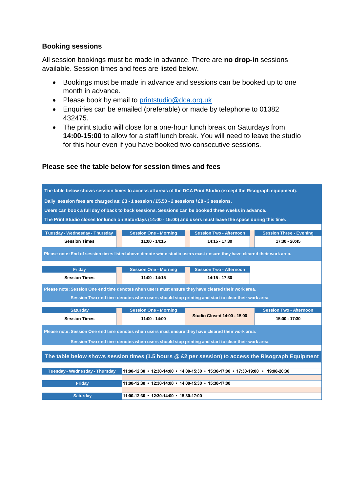### **Booking sessions**

All session bookings must be made in advance. There are **no drop-in** sessions available. Session times and fees are listed below.

- Bookings must be made in advance and sessions can be booked up to one month in advance.
- Please book by email to [printstudio@dca.org.uk](mailto:printstudio@dca.org.uk)
- Enquiries can be emailed (preferable) or made by telephone to 01382 432475.
- The print studio will close for a one-hour lunch break on Saturdays from **14:00-15:00** to allow for a staff lunch break. You will need to leave the studio for this hour even if you have booked two consecutive sessions.

## **Please see the table below for session times and fees**

| The table below shows session times to access all areas of the DCA Print Studio (except the Risograph equipment).               |                              |                                    |                                                       |  |  |
|---------------------------------------------------------------------------------------------------------------------------------|------------------------------|------------------------------------|-------------------------------------------------------|--|--|
| Daily session fees are charged as: £3 - 1 session / £5.50 - 2 sessions / £8 - 3 sessions.                                       |                              |                                    |                                                       |  |  |
| Users can book a full day of back to back sessions. Sessions can be booked three weeks in advance.                              |                              |                                    |                                                       |  |  |
| The Print Studio closes for lunch on Saturdays (14:00 - 15:00) and users must leave the space during this time.                 |                              |                                    |                                                       |  |  |
|                                                                                                                                 |                              |                                    |                                                       |  |  |
| Tuesday - Wednesday - Thursday                                                                                                  | <b>Session One - Morning</b> | <b>Session Two - Afternoon</b>     | <b>Session Three - Evening</b>                        |  |  |
| <b>Session Times</b>                                                                                                            | $11:00 - 14:15$              | 14:15 - 17:30                      | 17:30 - 20:45                                         |  |  |
| Please note: End of session times listed above denote when studio users must ensure they have cleared their work area.          |                              |                                    |                                                       |  |  |
| <b>Friday</b>                                                                                                                   | <b>Session One - Morning</b> | <b>Session Two - Afternoon</b>     |                                                       |  |  |
| <b>Session Times</b>                                                                                                            | $11:00 - 14:15$              | 14:15 - 17:30                      |                                                       |  |  |
| Please note: Session One end time denotes when users must ensure they have cleared their work area.                             |                              |                                    |                                                       |  |  |
| Session Two end time denotes when users should stop printing and start to clear their work area.                                |                              |                                    |                                                       |  |  |
| <b>Saturday</b>                                                                                                                 | <b>Session One - Morning</b> |                                    | <b>Session Two - Afternoon</b>                        |  |  |
| <b>Session Times</b>                                                                                                            | $11:00 - 14:00$              | <b>Studio Closed 14:00 - 15:00</b> | 15:00 - 17:30                                         |  |  |
| Please note: Session One end time denotes when users must ensure they have cleared their work area.                             |                              |                                    |                                                       |  |  |
| Session Two end time denotes when users should stop printing and start to clear their work area.                                |                              |                                    |                                                       |  |  |
|                                                                                                                                 |                              |                                    |                                                       |  |  |
| The table below shows session times (1.5 hours @ £2 per session) to access the Risograph Equipment                              |                              |                                    |                                                       |  |  |
|                                                                                                                                 |                              |                                    |                                                       |  |  |
| Tuesday - Wednesday - Thursday<br>$11:00-12:30$ • $12:30-14:00$ • $14:00-15:30$ • $15:30-17:00$ • $17:30-19:00$ • $19:00-20:30$ |                              |                                    |                                                       |  |  |
| <b>Friday</b>                                                                                                                   |                              |                                    | 11:00-12:30 • 12:30-14:00 • 14:00-15:30 • 15:30-17:00 |  |  |
|                                                                                                                                 |                              |                                    |                                                       |  |  |
|                                                                                                                                 |                              |                                    |                                                       |  |  |